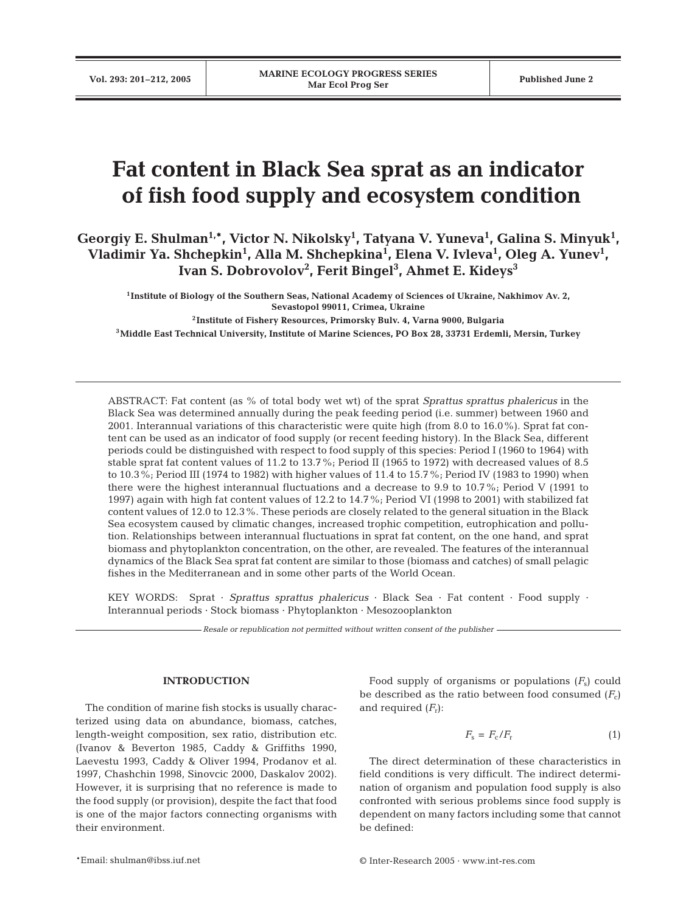# **Fat content in Black Sea sprat as an indicator of fish food supply and ecosystem condition**

**Georgiy E. Shulman1,\*, Victor N. Nikolsky1 , Tatyana V. Yuneva1 , Galina S. Minyuk1 , Vladimir Ya. Shchepkin1 , Alla M. Shchepkina1 , Elena V. Ivleva1 , Oleg A. Yunev1 , Ivan S. Dobrovolov2 , Ferit Bingel3 , Ahmet E. Kideys3**

**1Institute of Biology of the Southern Seas, National Academy of Sciences of Ukraine, Nakhimov Av. 2, Sevastopol 99011, Crimea, Ukraine 2Institute of Fishery Resources, Primorsky Bulv. 4, Varna 9000, Bulgaria**

**3Middle East Technical University, Institute of Marine Sciences, PO Box 28, 33731 Erdemli, Mersin, Turkey**

ABSTRACT: Fat content (as % of total body wet wt) of the sprat *Sprattus sprattus phalericus* in the Black Sea was determined annually during the peak feeding period (i.e. summer) between 1960 and 2001. Interannual variations of this characteristic were quite high (from 8.0 to 16.0%). Sprat fat content can be used as an indicator of food supply (or recent feeding history). In the Black Sea, different periods could be distinguished with respect to food supply of this species: Period I (1960 to 1964) with stable sprat fat content values of 11.2 to 13.7%; Period II (1965 to 1972) with decreased values of 8.5 to 10.3%; Period III (1974 to 1982) with higher values of 11.4 to 15.7%; Period IV (1983 to 1990) when there were the highest interannual fluctuations and a decrease to 9.9 to 10.7%; Period V (1991 to 1997) again with high fat content values of 12.2 to 14.7%; Period VI (1998 to 2001) with stabilized fat content values of 12.0 to 12.3%. These periods are closely related to the general situation in the Black Sea ecosystem caused by climatic changes, increased trophic competition, eutrophication and pollution. Relationships between interannual fluctuations in sprat fat content, on the one hand, and sprat biomass and phytoplankton concentration, on the other, are revealed. The features of the interannual dynamics of the Black Sea sprat fat content are similar to those (biomass and catches) of small pelagic fishes in the Mediterranean and in some other parts of the World Ocean.

KEY WORDS: Sprat · *Sprattus sprattus phalericus* · Black Sea · Fat content · Food supply · Interannual periods · Stock biomass · Phytoplankton · Mesozooplankton

*Resale or republication not permitted without written consent of the publisher*

### **INTRODUCTION**

The condition of marine fish stocks is usually characterized using data on abundance, biomass, catches, length-weight composition, sex ratio, distribution etc. (Ivanov & Beverton 1985, Caddy & Griffiths 1990, Laevestu 1993, Caddy & Oliver 1994, Prodanov et al. 1997, Chashchin 1998, Sinovcic 2000, Daskalov 2002). However, it is surprising that no reference is made to the food supply (or provision), despite the fact that food is one of the major factors connecting organisms with their environment.

Food supply of organisms or populations  $(F_s)$  could be described as the ratio between food consumed  $(F_c)$ and required  $(F_r)$ :

$$
F_{\rm s} = F_{\rm c}/F_{\rm r} \tag{1}
$$

The direct determination of these characteristics in field conditions is very difficult. The indirect determination of organism and population food supply is also confronted with serious problems since food supply is dependent on many factors including some that cannot be defined: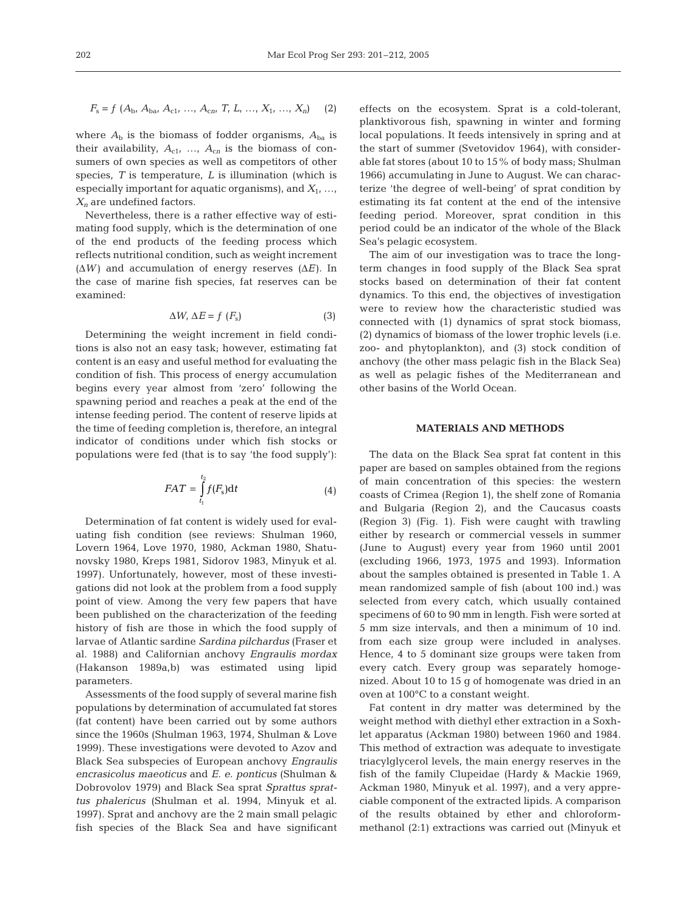$$
F_{\rm s} = f (A_{\rm b}, A_{\rm ba}, A_{\rm c1}, ..., A_{\rm cn}, T, L, ..., X_1, ..., X_n) \tag{2}
$$

where  $A<sub>b</sub>$  is the biomass of fodder organisms,  $A<sub>ba</sub>$  is their availability,  $A_{c1}$ , ...,  $A_{cn}$  is the biomass of consumers of own species as well as competitors of other species, *T* is temperature, *L* is illumination (which is especially important for aquatic organisms), and  $X_1, \ldots$ , *Xn* are undefined factors.

Nevertheless, there is a rather effective way of estimating food supply, which is the determination of one of the end products of the feeding process which reflects nutritional condition, such as weight increment ( $\Delta W$ ) and accumulation of energy reserves ( $\Delta E$ ). In the case of marine fish species, fat reserves can be examined:

$$
\Delta W, \, \Delta E = f \, (F_{\rm s}) \tag{3}
$$

Determining the weight increment in field conditions is also not an easy task; however, estimating fat content is an easy and useful method for evaluating the condition of fish. This process of energy accumulation begins every year almost from 'zero' following the spawning period and reaches a peak at the end of the intense feeding period. The content of reserve lipids at the time of feeding completion is, therefore, an integral indicator of conditions under which fish stocks or populations were fed (that is to say 'the food supply'):

$$
FAT = \int_{t_1}^{t_2} f(F_s) \mathrm{d}t \tag{4}
$$

Determination of fat content is widely used for evaluating fish condition (see reviews: Shulman 1960, Lovern 1964, Love 1970, 1980, Ackman 1980, Shatunovsky 1980, Kreps 1981, Sidorov 1983, Minyuk et al. 1997). Unfortunately, however, most of these investigations did not look at the problem from a food supply point of view. Among the very few papers that have been published on the characterization of the feeding history of fish are those in which the food supply of larvae of Atlantic sardine *Sardina pilchardus* (Fraser et al. 1988) and Californian anchovy *Engraulis mordax* (Hakanson 1989a,b) was estimated using lipid parameters.

Assessments of the food supply of several marine fish populations by determination of accumulated fat stores (fat content) have been carried out by some authors since the 1960s (Shulman 1963, 1974, Shulman & Love 1999). These investigations were devoted to Azov and Black Sea subspecies of European anchovy *Engraulis encrasicolus maeoticus* and *E. e. ponticus* (Shulman & Dobrovolov 1979) and Black Sea sprat *Sprattus sprattus phalericus* (Shulman et al. 1994, Minyuk et al. 1997). Sprat and anchovy are the 2 main small pelagic fish species of the Black Sea and have significant

effects on the ecosystem. Sprat is a cold-tolerant, planktivorous fish, spawning in winter and forming local populations. It feeds intensively in spring and at the start of summer (Svetovidov 1964), with considerable fat stores (about 10 to 15% of body mass; Shulman 1966) accumulating in June to August. We can characterize 'the degree of well-being' of sprat condition by estimating its fat content at the end of the intensive feeding period. Moreover, sprat condition in this period could be an indicator of the whole of the Black Sea's pelagic ecosystem.

The aim of our investigation was to trace the longterm changes in food supply of the Black Sea sprat stocks based on determination of their fat content dynamics. To this end, the objectives of investigation were to review how the characteristic studied was connected with (1) dynamics of sprat stock biomass, (2) dynamics of biomass of the lower trophic levels (i.e. zoo- and phytoplankton), and (3) stock condition of anchovy (the other mass pelagic fish in the Black Sea) as well as pelagic fishes of the Mediterranean and other basins of the World Ocean.

#### **MATERIALS AND METHODS**

The data on the Black Sea sprat fat content in this paper are based on samples obtained from the regions of main concentration of this species: the western coasts of Crimea (Region 1), the shelf zone of Romania and Bulgaria (Region 2), and the Caucasus coasts (Region 3) (Fig. 1). Fish were caught with trawling either by research or commercial vessels in summer (June to August) every year from 1960 until 2001 (excluding 1966, 1973, 1975 and 1993). Information about the samples obtained is presented in Table 1. A mean randomized sample of fish (about 100 ind.) was selected from every catch, which usually contained specimens of 60 to 90 mm in length. Fish were sorted at 5 mm size intervals, and then a minimum of 10 ind. from each size group were included in analyses. Hence, 4 to 5 dominant size groups were taken from every catch. Every group was separately homogenized. About 10 to 15 g of homogenate was dried in an oven at 100°C to a constant weight.

Fat content in dry matter was determined by the weight method with diethyl ether extraction in a Soxhlet apparatus (Ackman 1980) between 1960 and 1984. This method of extraction was adequate to investigate triacylglycerol levels, the main energy reserves in the fish of the family Clupeidae (Hardy & Mackie 1969, Ackman 1980, Minyuk et al. 1997), and a very appreciable component of the extracted lipids. A comparison of the results obtained by ether and chloroformmethanol (2:1) extractions was carried out (Minyuk et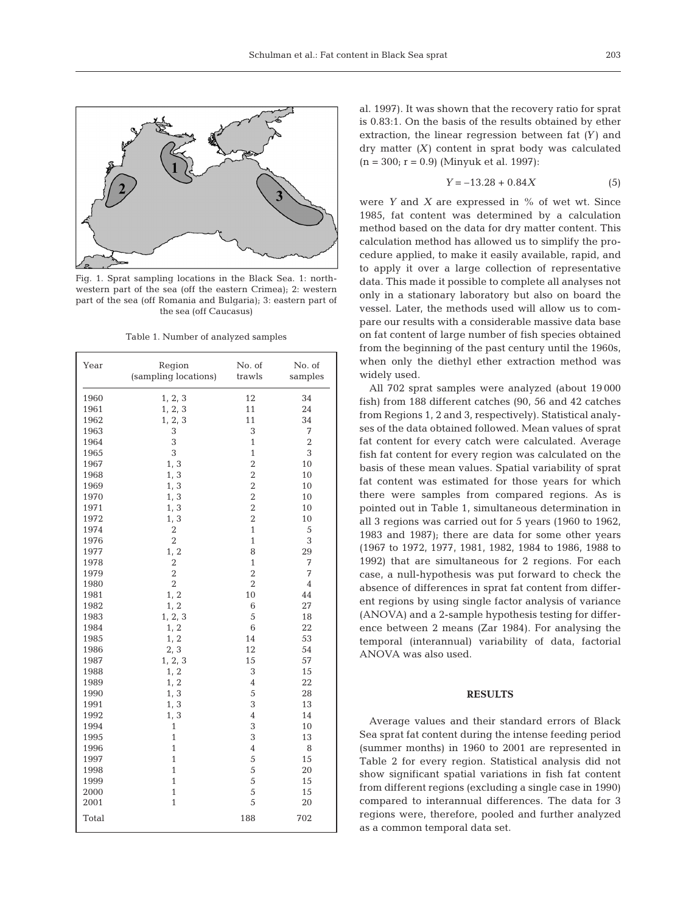

Fig. 1. Sprat sampling locations in the Black Sea. 1: northwestern part of the sea (off the eastern Crimea); 2: western part of the sea (off Romania and Bulgaria); 3: eastern part of the sea (off Caucasus)

Table 1. Number of analyzed samples

| Year  | Region<br>(sampling locations) | No. of<br>trawls |                |  |
|-------|--------------------------------|------------------|----------------|--|
| 1960  | 1, 2, 3                        | 12               | 34             |  |
| 1961  | 1, 2, 3                        | 11               | 24             |  |
| 1962  | 1, 2, 3                        | 11               | 34             |  |
| 1963  | 3                              | 3                | 7              |  |
| 1964  | 3                              | 1                | $\overline{2}$ |  |
| 1965  | 3                              | $\mathbf{1}$     | 3              |  |
| 1967  | 1, 3                           | $\overline{2}$   | 10             |  |
| 1968  | 1, 3                           | $\overline{2}$   | 10             |  |
| 1969  | 1, 3                           | $\overline{2}$   | 10             |  |
| 1970  | 1, 3                           | $\overline{2}$   | 10             |  |
| 1971  | 1, 3                           | $\overline{c}$   | 10             |  |
| 1972  | 1, 3                           | $\overline{2}$   | 10             |  |
| 1974  | $\sqrt{2}$                     | $\mathbf{1}$     | 5              |  |
| 1976  | $\overline{2}$                 | $\mathbf{1}$     | 3              |  |
| 1977  | 1, 2                           | 8                | 29             |  |
| 1978  | $\overline{2}$                 | $\mathbf{1}$     | 7              |  |
| 1979  | $\overline{2}$                 | $\overline{2}$   | 7              |  |
| 1980  | $\overline{2}$                 | $\overline{2}$   | $\overline{4}$ |  |
| 1981  | 1, 2                           | 10               | 44             |  |
| 1982  | 1, 2                           | 6                | 27             |  |
| 1983  | 1, 2, 3                        | 5                | 18             |  |
| 1984  | 1, 2                           | 6                | 22             |  |
| 1985  | 1, 2                           | 14               | 53             |  |
| 1986  | 2, 3                           | 12               | 54             |  |
| 1987  | 1, 2, 3                        | 15               | 57             |  |
| 1988  | 1, 2                           | 3                | 15             |  |
| 1989  | 1, 2                           | 4                | 22             |  |
| 1990  | 1, 3                           | 5                | 28             |  |
| 1991  | 1, 3                           | 3                | 13             |  |
| 1992  | 1, 3                           | $\overline{4}$   | 14             |  |
| 1994  | 1                              | 3                | 10             |  |
| 1995  | 1                              | 3                | 13             |  |
| 1996  | 1                              | 4                | 8              |  |
| 1997  | 1                              | 5                | 15             |  |
| 1998  | 1                              | 5                | 20             |  |
| 1999  | $\overline{1}$                 | 5                | 15             |  |
| 2000  | $\mathbf{1}$                   | 5                | 15             |  |
| 2001  | $\overline{1}$                 | 5                | 20             |  |
| Total |                                | 188              | 702            |  |

al. 1997). It was shown that the recovery ratio for sprat is 0.83:1. On the basis of the results obtained by ether extraction, the linear regression between fat *(Y)* and dry matter *(X)* content in sprat body was calculated  $(n = 300; r = 0.9)$  (Minyuk et al. 1997):

$$
Y = -13.28 + 0.84X\tag{5}
$$

were *Y* and *X* are expressed in % of wet wt. Since 1985, fat content was determined by a calculation method based on the data for dry matter content. This calculation method has allowed us to simplify the procedure applied, to make it easily available, rapid, and to apply it over a large collection of representative data. This made it possible to complete all analyses not only in a stationary laboratory but also on board the vessel. Later, the methods used will allow us to compare our results with a considerable massive data base on fat content of large number of fish species obtained from the beginning of the past century until the 1960s, when only the diethyl ether extraction method was widely used.

All 702 sprat samples were analyzed (about 19 000 fish) from 188 different catches (90, 56 and 42 catches from Regions 1, 2 and 3, respectively). Statistical analyses of the data obtained followed. Mean values of sprat fat content for every catch were calculated. Average fish fat content for every region was calculated on the basis of these mean values. Spatial variability of sprat fat content was estimated for those years for which there were samples from compared regions. As is pointed out in Table 1, simultaneous determination in all 3 regions was carried out for 5 years (1960 to 1962, 1983 and 1987); there are data for some other years (1967 to 1972, 1977, 1981, 1982, 1984 to 1986, 1988 to 1992) that are simultaneous for 2 regions. For each case, a null-hypothesis was put forward to check the absence of differences in sprat fat content from different regions by using single factor analysis of variance (ANOVA) and a 2-sample hypothesis testing for difference between 2 means (Zar 1984). For analysing the temporal (interannual) variability of data, factorial ANOVA was also used.

#### **RESULTS**

Average values and their standard errors of Black Sea sprat fat content during the intense feeding period (summer months) in 1960 to 2001 are represented in Table 2 for every region. Statistical analysis did not show significant spatial variations in fish fat content from different regions (excluding a single case in 1990) compared to interannual differences. The data for 3 regions were, therefore, pooled and further analyzed as a common temporal data set.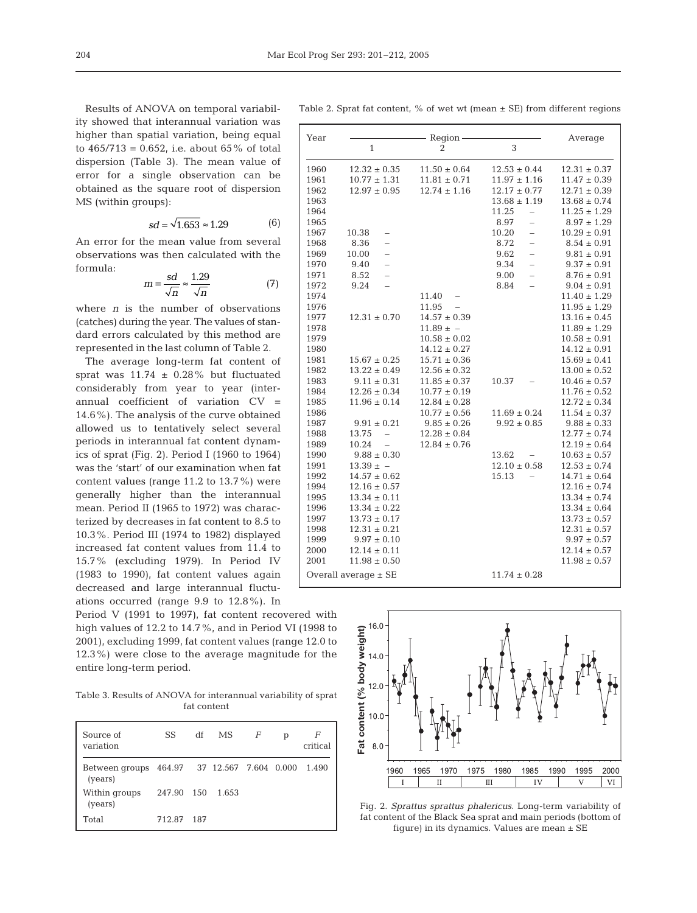Results of ANOVA on temporal variability showed that interannual variation was higher than spatial variation, being equal to  $465/713 = 0.652$ , i.e. about  $65\%$  of total dispersion (Table 3). The mean value of error for a single observation can be obtained as the square root of dispersion MS (within groups):

$$
sd = \sqrt{1.653} \approx 1.29\tag{6}
$$

An error for the mean value from several observations was then calculated with the formula:

$$
m = \frac{sd}{\sqrt{n}} \approx \frac{1.29}{\sqrt{n}} \tag{7}
$$

where *n* is the number of observations (catches) during the year. The values of standard errors calculated by this method are represented in the last column of Table 2.

The average long-term fat content of sprat was  $11.74 \pm 0.28\%$  but fluctuated considerably from year to year (interannual coefficient of variation CV = 14.6%). The analysis of the curve obtained allowed us to tentatively select several periods in interannual fat content dynamics of sprat (Fig. 2). Period I (1960 to 1964) was the 'start' of our examination when fat content values (range 11.2 to 13.7%) were generally higher than the interannual mean. Period II (1965 to 1972) was characterized by decreases in fat content to 8.5 to 10.3%. Period III (1974 to 1982) displayed increased fat content values from 11.4 to 15.7% (excluding 1979). In Period IV (1983 to 1990), fat content values again decreased and large interannual fluctuations occurred (range 9.9 to 12.8%). In

Period V (1991 to 1997), fat content recovered with high values of 12.2 to 14.7%, and in Period VI (1998 to 2001), excluding 1999, fat content values (range 12.0 to 12.3%) were close to the average magnitude for the entire long-term period.

Table 3. Results of ANOVA for interannual variability of sprat fat content

| Source of<br>variation                                 | <b>SS</b>  | df  | MS.   | F | р | F<br>critical |
|--------------------------------------------------------|------------|-----|-------|---|---|---------------|
| Between groups 464.97 37 12.567 7.604 0.000<br>(years) |            |     |       |   |   | 1.490         |
| Within groups<br>(years)                               | 247.90 150 |     | 1.653 |   |   |               |
| Total                                                  | 712.87     | 187 |       |   |   |               |

Table 2. Sprat fat content,  $\%$  of wet wt (mean  $\pm$  SE) from different regions

| Year                     |                                   | Region           | Average                           |                  |
|--------------------------|-----------------------------------|------------------|-----------------------------------|------------------|
|                          | 1                                 | $\overline{2}$   | 3                                 |                  |
| 1960                     | $12.32 \pm 0.35$                  | $11.50 \pm 0.64$ | $12.53 \pm 0.44$                  | $12.31 \pm 0.37$ |
| 1961                     | $10.77 \pm 1.31$                  | $11.81 \pm 0.71$ | $11.97 \pm 1.16$                  | $11.47 \pm 0.39$ |
| 1962                     | $12.97 \pm 0.95$                  | $12.74 \pm 1.16$ | $12.17 \pm 0.77$                  | $12.71 \pm 0.39$ |
| 1963                     |                                   |                  | $13.68 \pm 1.19$                  | $13.68 \pm 0.74$ |
| 1964                     |                                   |                  | 11.25                             | $11.25 \pm 1.29$ |
| 1965                     |                                   |                  | 8.97<br>$\overline{a}$            | $8.97 \pm 1.29$  |
| 1967                     | 10.38                             |                  | 10.20<br>$\overline{\phantom{0}}$ | $10.29 \pm 0.91$ |
| 1968                     | 8.36<br>$\equiv$                  |                  | 8.72<br>$\overline{\phantom{0}}$  | $8.54 \pm 0.91$  |
| 1969                     | 10.00<br>$\overline{\phantom{0}}$ |                  | 9.62<br>$\overline{a}$            | $9.81 \pm 0.91$  |
| 1970                     | 9.40<br>$\overline{\phantom{0}}$  |                  | 9.34<br>$\equiv$                  | $9.37 \pm 0.91$  |
| 1971                     | 8.52<br>$\equiv$                  |                  | 9.00<br>$\overline{\phantom{0}}$  | $8.76 \pm 0.91$  |
| 1972                     | 9.24                              |                  | 8.84                              | $9.04 \pm 0.91$  |
| 1974                     |                                   | 11.40            |                                   | $11.40 \pm 1.29$ |
| 1976                     |                                   | 11.95            |                                   | $11.95 \pm 1.29$ |
| 1977                     | $12.31 \pm 0.70$                  | $14.57 \pm 0.39$ |                                   | $13.16 \pm 0.45$ |
| 1978                     |                                   | $11.89 \pm -$    |                                   | $11.89 \pm 1.29$ |
| 1979                     |                                   | $10.58 \pm 0.02$ |                                   | $10.58 \pm 0.91$ |
| 1980                     |                                   | $14.12 \pm 0.27$ |                                   | $14.12 \pm 0.91$ |
| 1981                     | $15.67 \pm 0.25$                  | $15.71 \pm 0.36$ |                                   | $15.69 \pm 0.41$ |
| 1982                     | $13.22 \pm 0.49$                  | $12.56 \pm 0.32$ |                                   | $13.00 \pm 0.52$ |
| 1983                     | $9.11 \pm 0.31$                   | $11.85 \pm 0.37$ | 10.37                             | $10.46 \pm 0.57$ |
| 1984                     | $12.26 \pm 0.34$                  | $10.77 \pm 0.19$ |                                   | $11.76 \pm 0.52$ |
| 1985                     | $11.96 \pm 0.14$                  | $12.84 \pm 0.28$ |                                   | $12.72 \pm 0.34$ |
| 1986                     |                                   | $10.77 \pm 0.56$ | $11.69 \pm 0.24$                  | $11.54 \pm 0.37$ |
| 1987                     | $9.91 \pm 0.21$                   | $9.85 \pm 0.26$  | $9.92 \pm 0.85$                   | $9.88 \pm 0.33$  |
| 1988                     | 13.75                             | $12.28 \pm 0.84$ |                                   | $12.77 \pm 0.74$ |
| 1989                     | 10.24<br>$\frac{1}{2}$            | $12.84 \pm 0.76$ |                                   | $12.19 \pm 0.64$ |
| 1990                     | $9.88 \pm 0.30$                   |                  | 13.62                             | $10.63 \pm 0.57$ |
| 1991                     | $13.39 \pm -$                     |                  | $12.10 \pm 0.58$                  | $12.53 \pm 0.74$ |
| 1992                     | $14.57 \pm 0.62$                  |                  | 15.13                             | $14.71 \pm 0.64$ |
| 1994                     | $12.16 \pm 0.57$                  |                  |                                   | $12.16 \pm 0.74$ |
| 1995                     | $13.34 \pm 0.11$                  |                  |                                   | $13.34 \pm 0.74$ |
| 1996                     | $13.34 \pm 0.22$                  |                  |                                   | $13.34 \pm 0.64$ |
| 1997                     | $13.73 \pm 0.17$                  |                  |                                   | $13.73 \pm 0.57$ |
| 1998                     | $12.31 \pm 0.21$                  |                  |                                   | $12.31 \pm 0.57$ |
| 1999                     | $9.97 \pm 0.10$                   |                  |                                   | $9.97 \pm 0.57$  |
| 2000                     | $12.14 \pm 0.11$                  |                  |                                   | $12.14 \pm 0.57$ |
| 2001                     | $11.98 \pm 0.50$                  |                  |                                   | $11.98 \pm 0.57$ |
| Overall average $\pm$ SE |                                   |                  | $11.74 \pm 0.28$                  |                  |



Fig. 2. *Sprattus sprattus phalericus*. Long-term variability of fat content of the Black Sea sprat and main periods (bottom of figure) in its dynamics. Values are mean ± SE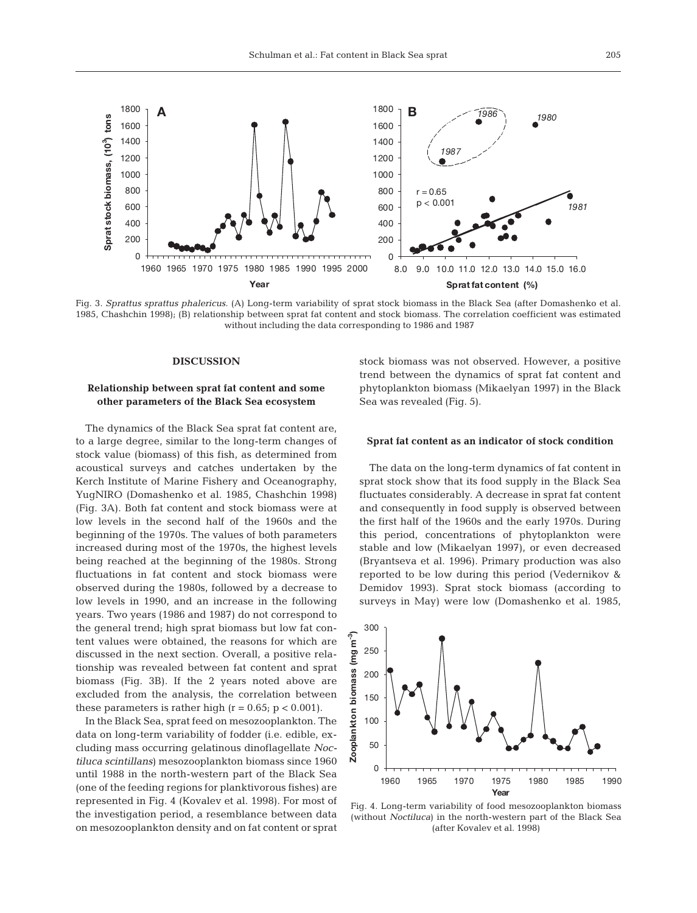

Fig. 3. *Sprattus sprattus phalericus*. (A) Long-term variability of sprat stock biomass in the Black Sea (after Domashenko et al. 1985, Chashchin 1998); (B) relationship between sprat fat content and stock biomass. The correlation coefficient was estimated without including the data corresponding to 1986 and 1987

## **DISCUSSION**

# **Relationship between sprat fat content and some other parameters of the Black Sea ecosystem**

The dynamics of the Black Sea sprat fat content are, to a large degree, similar to the long-term changes of stock value (biomass) of this fish, as determined from acoustical surveys and catches undertaken by the Kerch Institute of Marine Fishery and Oceanography, YugNIRO (Domashenko et al. 1985, Chashchin 1998) (Fig. 3A). Both fat content and stock biomass were at low levels in the second half of the 1960s and the beginning of the 1970s. The values of both parameters increased during most of the 1970s, the highest levels being reached at the beginning of the 1980s. Strong fluctuations in fat content and stock biomass were observed during the 1980s, followed by a decrease to low levels in 1990, and an increase in the following years. Two years (1986 and 1987) do not correspond to the general trend; high sprat biomass but low fat content values were obtained, the reasons for which are discussed in the next section. Overall, a positive relationship was revealed between fat content and sprat biomass (Fig. 3B). If the 2 years noted above are excluded from the analysis, the correlation between these parameters is rather high ( $r = 0.65$ ;  $p < 0.001$ ).

In the Black Sea, sprat feed on mesozooplankton. The data on long-term variability of fodder (i.e. edible, excluding mass occurring gelatinous dinoflagellate *Noctiluca scintillans*) mesozooplankton biomass since 1960 until 1988 in the north-western part of the Black Sea (one of the feeding regions for planktivorous fishes) are represented in Fig. 4 (Kovalev et al. 1998). For most of the investigation period, a resemblance between data on mesozooplankton density and on fat content or sprat

stock biomass was not observed. However, a positive trend between the dynamics of sprat fat content and phytoplankton biomass (Mikaelyan 1997) in the Black Sea was revealed (Fig. 5).

#### **Sprat fat content as an indicator of stock condition**

The data on the long-term dynamics of fat content in sprat stock show that its food supply in the Black Sea fluctuates considerably. A decrease in sprat fat content and consequently in food supply is observed between the first half of the 1960s and the early 1970s. During this period, concentrations of phytoplankton were stable and low (Mikaelyan 1997), or even decreased (Bryantseva et al. 1996). Primary production was also reported to be low during this period (Vedernikov & Demidov 1993). Sprat stock biomass (according to surveys in May) were low (Domashenko et al. 1985,



Fig. 4. Long-term variability of food mesozooplankton biomass (without *Noctiluca*) in the north-western part of the Black Sea (after Kovalev et al. 1998)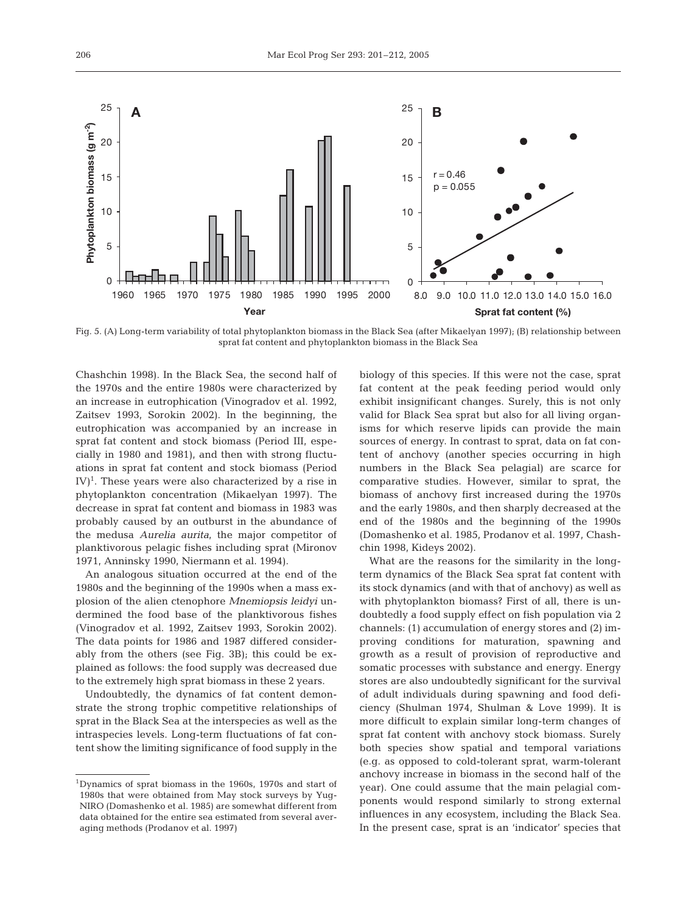

Fig. 5. (A) Long-term variability of total phytoplankton biomass in the Black Sea (after Mikaelyan 1997); (B) relationship between sprat fat content and phytoplankton biomass in the Black Sea

Chashchin 1998). In the Black Sea, the second half of the 1970s and the entire 1980s were characterized by an increase in eutrophication (Vinogradov et al. 1992, Zaitsev 1993, Sorokin 2002). In the beginning, the eutrophication was accompanied by an increase in sprat fat content and stock biomass (Period III, especially in 1980 and 1981), and then with strong fluctuations in sprat fat content and stock biomass (Period IV)<sup>1</sup>. These years were also characterized by a rise in phytoplankton concentration (Mikaelyan 1997). The decrease in sprat fat content and biomass in 1983 was probably caused by an outburst in the abundance of the medusa *Aurelia aurita*, the major competitor of planktivorous pelagic fishes including sprat (Mironov 1971, Anninsky 1990, Niermann et al. 1994).

An analogous situation occurred at the end of the 1980s and the beginning of the 1990s when a mass explosion of the alien ctenophore *Mnemiopsis leidyi* undermined the food base of the planktivorous fishes (Vinogradov et al. 1992, Zaitsev 1993, Sorokin 2002). The data points for 1986 and 1987 differed considerably from the others (see Fig. 3B); this could be explained as follows: the food supply was decreased due to the extremely high sprat biomass in these 2 years.

Undoubtedly, the dynamics of fat content demonstrate the strong trophic competitive relationships of sprat in the Black Sea at the interspecies as well as the intraspecies levels. Long-term fluctuations of fat content show the limiting significance of food supply in the

biology of this species. If this were not the case, sprat fat content at the peak feeding period would only exhibit insignificant changes. Surely, this is not only valid for Black Sea sprat but also for all living organisms for which reserve lipids can provide the main sources of energy. In contrast to sprat, data on fat content of anchovy (another species occurring in high numbers in the Black Sea pelagial) are scarce for comparative studies. However, similar to sprat, the biomass of anchovy first increased during the 1970s and the early 1980s, and then sharply decreased at the end of the 1980s and the beginning of the 1990s (Domashenko et al. 1985, Prodanov et al. 1997, Chashchin 1998, Kideys 2002).

What are the reasons for the similarity in the longterm dynamics of the Black Sea sprat fat content with its stock dynamics (and with that of anchovy) as well as with phytoplankton biomass? First of all, there is undoubtedly a food supply effect on fish population via 2 channels: (1) accumulation of energy stores and (2) improving conditions for maturation, spawning and growth as a result of provision of reproductive and somatic processes with substance and energy. Energy stores are also undoubtedly significant for the survival of adult individuals during spawning and food deficiency (Shulman 1974, Shulman & Love 1999). It is more difficult to explain similar long-term changes of sprat fat content with anchovy stock biomass. Surely both species show spatial and temporal variations (e.g. as opposed to cold-tolerant sprat, warm-tolerant anchovy increase in biomass in the second half of the year). One could assume that the main pelagial components would respond similarly to strong external influences in any ecosystem, including the Black Sea. In the present case, sprat is an 'indicator' species that

<sup>1</sup>Dynamics of sprat biomass in the 1960s, 1970s and start of 1980s that were obtained from May stock surveys by Yug-NIRO (Domashenko et al. 1985) are somewhat different from data obtained for the entire sea estimated from several averaging methods (Prodanov et al. 1997)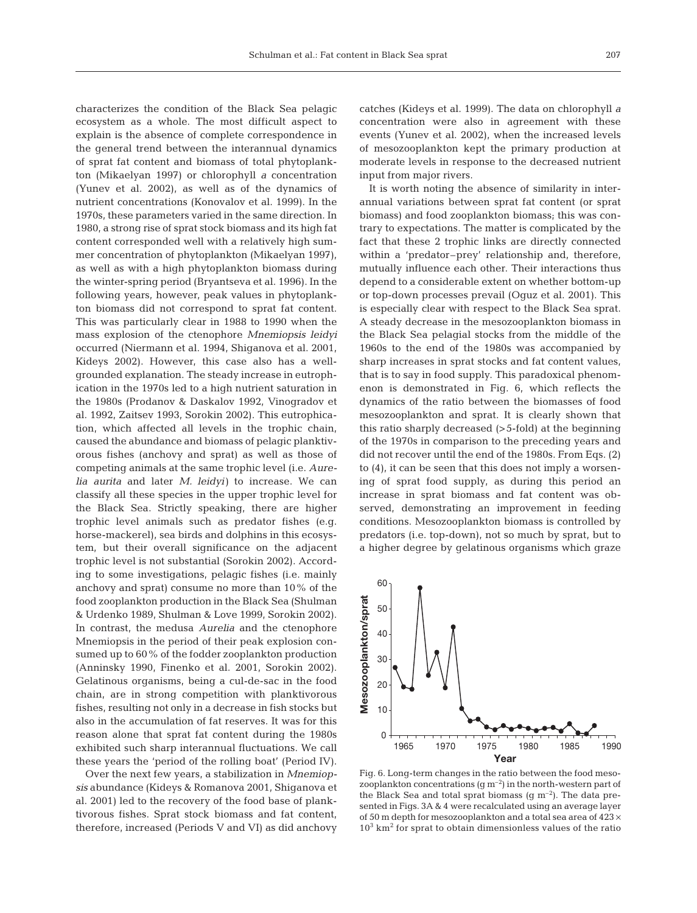characterizes the condition of the Black Sea pelagic ecosystem as a whole. The most difficult aspect to explain is the absence of complete correspondence in the general trend between the interannual dynamics of sprat fat content and biomass of total phytoplankton (Mikaelyan 1997) or chlorophyll *a* concentration (Yunev et al. 2002), as well as of the dynamics of nutrient concentrations (Konovalov et al. 1999). In the 1970s, these parameters varied in the same direction. In 1980, a strong rise of sprat stock biomass and its high fat content corresponded well with a relatively high summer concentration of phytoplankton (Mikaelyan 1997), as well as with a high phytoplankton biomass during the winter-spring period (Bryantseva et al. 1996). In the following years, however, peak values in phytoplankton biomass did not correspond to sprat fat content. This was particularly clear in 1988 to 1990 when the mass explosion of the ctenophore *Mnemiopsis leidyi* occurred (Niermann et al. 1994, Shiganova et al. 2001, Kideys 2002). However, this case also has a wellgrounded explanation. The steady increase in eutrophication in the 1970s led to a high nutrient saturation in the 1980s (Prodanov & Daskalov 1992, Vinogradov et al. 1992, Zaitsev 1993, Sorokin 2002). This eutrophication, which affected all levels in the trophic chain, caused the abundance and biomass of pelagic planktivorous fishes (anchovy and sprat) as well as those of competing animals at the same trophic level (i.e. *Aurelia aurita* and later *M. leidyi)* to increase. We can classify all these species in the upper trophic level for the Black Sea. Strictly speaking, there are higher trophic level animals such as predator fishes (e.g. horse-mackerel), sea birds and dolphins in this ecosystem, but their overall significance on the adjacent trophic level is not substantial (Sorokin 2002). According to some investigations, pelagic fishes (i.e. mainly anchovy and sprat) consume no more than 10% of the food zooplankton production in the Black Sea (Shulman & Urdenko 1989, Shulman & Love 1999, Sorokin 2002). In contrast, the medusa *Aurelia* and the ctenophore Mnemiopsis in the period of their peak explosion consumed up to 60% of the fodder zooplankton production (Anninsky 1990, Finenko et al. 2001, Sorokin 2002). Gelatinous organisms, being a cul-de-sac in the food chain, are in strong competition with planktivorous fishes, resulting not only in a decrease in fish stocks but also in the accumulation of fat reserves. It was for this reason alone that sprat fat content during the 1980s exhibited such sharp interannual fluctuations. We call these years the 'period of the rolling boat' (Period IV).

Over the next few years, a stabilization in *Mnemiopsis* abundance (Kideys & Romanova 2001, Shiganova et al. 2001) led to the recovery of the food base of planktivorous fishes. Sprat stock biomass and fat content, therefore, increased (Periods V and VI) as did anchovy

catches (Kideys et al. 1999). The data on chlorophyll *a* concentration were also in agreement with these events (Yunev et al. 2002), when the increased levels of mesozooplankton kept the primary production at moderate levels in response to the decreased nutrient input from major rivers.

It is worth noting the absence of similarity in interannual variations between sprat fat content (or sprat biomass) and food zooplankton biomass; this was contrary to expectations. The matter is complicated by the fact that these 2 trophic links are directly connected within a 'predator–prey' relationship and, therefore, mutually influence each other. Their interactions thus depend to a considerable extent on whether bottom-up or top-down processes prevail (Oguz et al. 2001). This is especially clear with respect to the Black Sea sprat. A steady decrease in the mesozooplankton biomass in the Black Sea pelagial stocks from the middle of the 1960s to the end of the 1980s was accompanied by sharp increases in sprat stocks and fat content values, that is to say in food supply. This paradoxical phenomenon is demonstrated in Fig. 6, which reflects the dynamics of the ratio between the biomasses of food mesozooplankton and sprat. It is clearly shown that this ratio sharply decreased (>5-fold) at the beginning of the 1970s in comparison to the preceding years and did not recover until the end of the 1980s. From Eqs. (2) to (4), it can be seen that this does not imply a worsening of sprat food supply, as during this period an increase in sprat biomass and fat content was observed, demonstrating an improvement in feeding conditions. Mesozooplankton biomass is controlled by predators (i.e. top-down), not so much by sprat, but to a higher degree by gelatinous organisms which graze



Fig. 6. Long-term changes in the ratio between the food mesozooplankton concentrations  $(g m^{-2})$  in the north-western part of the Black Sea and total sprat biomass  $(g m^{-2})$ . The data presented in Figs. 3A & 4 were recalculated using an average layer of 50 m depth for mesozooplankton and a total sea area of  $423 \times$  $10<sup>3</sup>$  km<sup>2</sup> for sprat to obtain dimensionless values of the ratio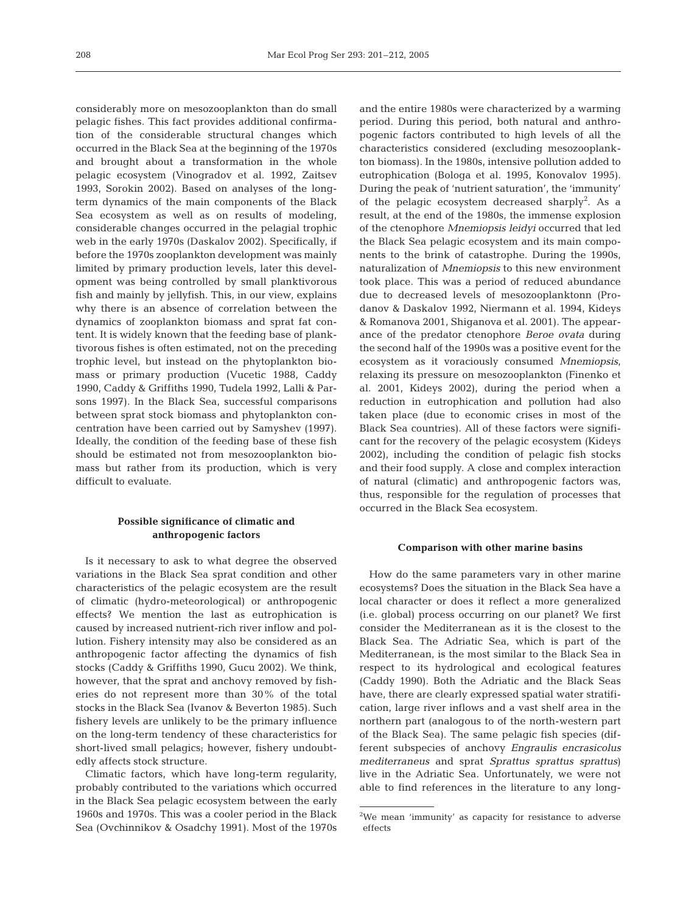considerably more on mesozooplankton than do small pelagic fishes. This fact provides additional confirmation of the considerable structural changes which occurred in the Black Sea at the beginning of the 1970s and brought about a transformation in the whole pelagic ecosystem (Vinogradov et al. 1992, Zaitsev 1993, Sorokin 2002). Based on analyses of the longterm dynamics of the main components of the Black Sea ecosystem as well as on results of modeling, considerable changes occurred in the pelagial trophic web in the early 1970s (Daskalov 2002). Specifically, if before the 1970s zooplankton development was mainly limited by primary production levels, later this development was being controlled by small planktivorous fish and mainly by jellyfish. This, in our view, explains why there is an absence of correlation between the dynamics of zooplankton biomass and sprat fat content. It is widely known that the feeding base of planktivorous fishes is often estimated, not on the preceding trophic level, but instead on the phytoplankton biomass or primary production (Vucetic 1988, Caddy 1990, Caddy & Griffiths 1990, Tudela 1992, Lalli & Parsons 1997). In the Black Sea, successful comparisons between sprat stock biomass and phytoplankton concentration have been carried out by Samyshev (1997). Ideally, the condition of the feeding base of these fish should be estimated not from mesozooplankton biomass but rather from its production, which is very difficult to evaluate.

# **Possible significance of climatic and anthropogenic factors**

Is it necessary to ask to what degree the observed variations in the Black Sea sprat condition and other characteristics of the pelagic ecosystem are the result of climatic (hydro-meteorological) or anthropogenic effects? We mention the last as eutrophication is caused by increased nutrient-rich river inflow and pollution. Fishery intensity may also be considered as an anthropogenic factor affecting the dynamics of fish stocks (Caddy & Griffiths 1990, Gucu 2002). We think, however, that the sprat and anchovy removed by fisheries do not represent more than 30% of the total stocks in the Black Sea (Ivanov & Beverton 1985). Such fishery levels are unlikely to be the primary influence on the long-term tendency of these characteristics for short-lived small pelagics; however, fishery undoubtedly affects stock structure.

Climatic factors, which have long-term regularity, probably contributed to the variations which occurred in the Black Sea pelagic ecosystem between the early 1960s and 1970s. This was a cooler period in the Black Sea (Ovchinnikov & Osadchy 1991). Most of the 1970s

and the entire 1980s were characterized by a warming period. During this period, both natural and anthropogenic factors contributed to high levels of all the characteristics considered (excluding mesozooplankton biomass). In the 1980s, intensive pollution added to eutrophication (Bologa et al. 1995, Konovalov 1995). During the peak of 'nutrient saturation', the 'immunity' of the pelagic ecosystem decreased sharply<sup>2</sup>. As a result, at the end of the 1980s, the immense explosion of the ctenophore *Mnemiopsis leidyi* occurred that led the Black Sea pelagic ecosystem and its main components to the brink of catastrophe. During the 1990s, naturalization of *Mnemiopsis* to this new environment took place. This was a period of reduced abundance due to decreased levels of mesozooplanktonn (Prodanov & Daskalov 1992, Niermann et al. 1994, Kideys & Romanova 2001, Shiganova et al. 2001). The appearance of the predator ctenophore *Beroe ovata* during the second half of the 1990s was a positive event for the ecosystem as it voraciously consumed *Mnemiopsis*, relaxing its pressure on mesozooplankton (Finenko et al. 2001, Kideys 2002), during the period when a reduction in eutrophication and pollution had also taken place (due to economic crises in most of the Black Sea countries). All of these factors were significant for the recovery of the pelagic ecosystem (Kideys 2002), including the condition of pelagic fish stocks and their food supply. A close and complex interaction of natural (climatic) and anthropogenic factors was, thus, responsible for the regulation of processes that occurred in the Black Sea ecosystem.

#### **Comparison with other marine basins**

How do the same parameters vary in other marine ecosystems? Does the situation in the Black Sea have a local character or does it reflect a more generalized (i.e. global) process occurring on our planet? We first consider the Mediterranean as it is the closest to the Black Sea. The Adriatic Sea, which is part of the Mediterranean, is the most similar to the Black Sea in respect to its hydrological and ecological features (Caddy 1990). Both the Adriatic and the Black Seas have, there are clearly expressed spatial water stratification, large river inflows and a vast shelf area in the northern part (analogous to of the north-western part of the Black Sea). The same pelagic fish species (different subspecies of anchovy *Engraulis encrasicolus mediterraneus* and sprat *Sprattus sprattus sprattus*) live in the Adriatic Sea. Unfortunately, we were not able to find references in the literature to any long-

<sup>&</sup>lt;sup>2</sup>We mean 'immunity' as capacity for resistance to adverse effects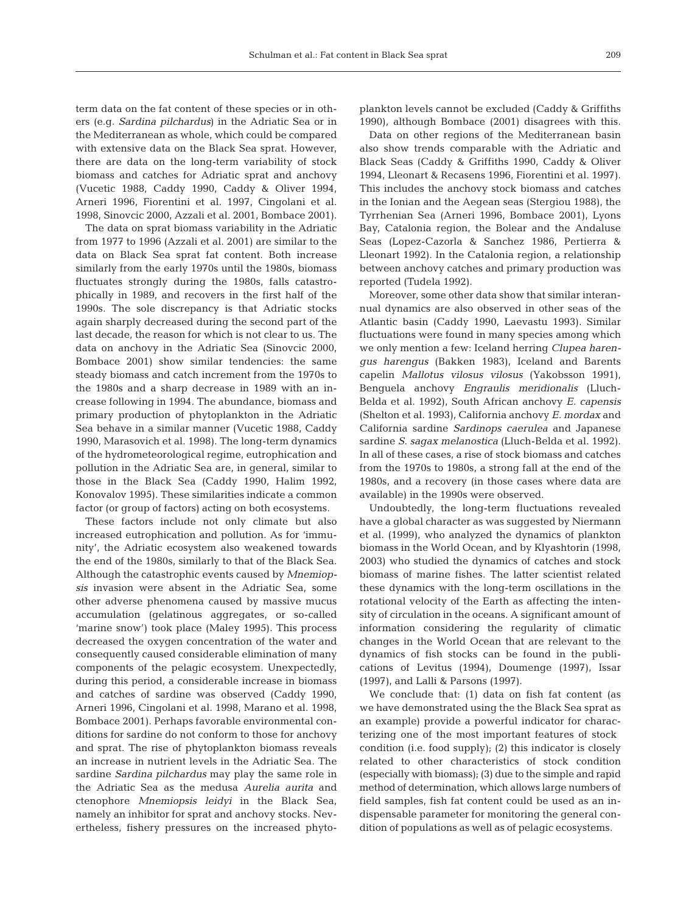term data on the fat content of these species or in others (e.g. *Sardina pilchardus*) in the Adriatic Sea or in the Mediterranean as whole, which could be compared with extensive data on the Black Sea sprat. However, there are data on the long-term variability of stock biomass and catches for Adriatic sprat and anchovy (Vucetic 1988, Caddy 1990, Caddy & Oliver 1994, Arneri 1996, Fiorentini et al. 1997, Cingolani et al. 1998, Sinovcic 2000, Azzali et al. 2001, Bombace 2001).

The data on sprat biomass variability in the Adriatic from 1977 to 1996 (Azzali et al. 2001) are similar to the data on Black Sea sprat fat content. Both increase similarly from the early 1970s until the 1980s, biomass fluctuates strongly during the 1980s, falls catastrophically in 1989, and recovers in the first half of the 1990s. The sole discrepancy is that Adriatic stocks again sharply decreased during the second part of the last decade, the reason for which is not clear to us. The data on anchovy in the Adriatic Sea (Sinovcic 2000, Bombace 2001) show similar tendencies: the same steady biomass and catch increment from the 1970s to the 1980s and a sharp decrease in 1989 with an increase following in 1994. The abundance, biomass and primary production of phytoplankton in the Adriatic Sea behave in a similar manner (Vucetic 1988, Caddy 1990, Marasovich et al. 1998). The long-term dynamics of the hydrometeorological regime, eutrophication and pollution in the Adriatic Sea are, in general, similar to those in the Black Sea (Caddy 1990, Halim 1992, Konovalov 1995). These similarities indicate a common factor (or group of factors) acting on both ecosystems.

These factors include not only climate but also increased eutrophication and pollution. As for 'immunity', the Adriatic ecosystem also weakened towards the end of the 1980s, similarly to that of the Black Sea. Although the catastrophic events caused by *Mnemiopsis* invasion were absent in the Adriatic Sea, some other adverse phenomena caused by massive mucus accumulation (gelatinous aggregates, or so-called 'marine snow') took place (Maley 1995). This process decreased the oxygen concentration of the water and consequently caused considerable elimination of many components of the pelagic ecosystem. Unexpectedly, during this period, a considerable increase in biomass and catches of sardine was observed (Caddy 1990, Arneri 1996, Cingolani et al. 1998, Marano et al. 1998, Bombace 2001). Perhaps favorable environmental conditions for sardine do not conform to those for anchovy and sprat. The rise of phytoplankton biomass reveals an increase in nutrient levels in the Adriatic Sea. The sardine *Sardina pilchardus* may play the same role in the Adriatic Sea as the medusa *Aurelia aurita* and ctenophore *Mnemiopsis leidyi* in the Black Sea, namely an inhibitor for sprat and anchovy stocks. Nevertheless, fishery pressures on the increased phytoplankton levels cannot be excluded (Caddy & Griffiths 1990), although Bombace (2001) disagrees with this.

Data on other regions of the Mediterranean basin also show trends comparable with the Adriatic and Black Seas (Caddy & Griffiths 1990, Caddy & Oliver 1994, Lleonart & Recasens 1996, Fiorentini et al. 1997). This includes the anchovy stock biomass and catches in the Ionian and the Aegean seas (Stergiou 1988), the Tyrrhenian Sea (Arneri 1996, Bombace 2001), Lyons Bay, Catalonia region, the Bolear and the Andaluse Seas (Lopez-Cazorla & Sanchez 1986, Pertierra & Lleonart 1992). In the Catalonia region, a relationship between anchovy catches and primary production was reported (Tudela 1992).

Moreover, some other data show that similar interannual dynamics are also observed in other seas of the Atlantic basin (Caddy 1990, Laevastu 1993). Similar fluctuations were found in many species among which we only mention a few: Iceland herring *Clupea harengus harengus* (Bakken 1983), Iceland and Barents capelin *Mallotus vilosus vilosus* (Yakobsson 1991), Benguela anchovy *Engraulis meridionalis* (Lluch-Belda et al. 1992), South African anchovy *E. capensis* (Shelton et al. 1993), California anchovy *E. mordax* and California sardine *Sardinops caerulea* and Japanese sardine *S. sagax melanostica* (Lluch-Belda et al. 1992). In all of these cases, a rise of stock biomass and catches from the 1970s to 1980s, a strong fall at the end of the 1980s, and a recovery (in those cases where data are available) in the 1990s were observed.

Undoubtedly, the long-term fluctuations revealed have a global character as was suggested by Niermann et al. (1999), who analyzed the dynamics of plankton biomass in the World Ocean, and by Klyashtorin (1998, 2003) who studied the dynamics of catches and stock biomass of marine fishes. The latter scientist related these dynamics with the long-term oscillations in the rotational velocity of the Earth as affecting the intensity of circulation in the oceans. A significant amount of information considering the regularity of climatic changes in the World Ocean that are relevant to the dynamics of fish stocks can be found in the publications of Levitus (1994), Doumenge (1997), Issar (1997), and Lalli & Parsons (1997).

We conclude that: (1) data on fish fat content (as we have demonstrated using the the Black Sea sprat as an example) provide a powerful indicator for characterizing one of the most important features of stock condition (i.e. food supply); (2) this indicator is closely related to other characteristics of stock condition (especially with biomass); (3) due to the simple and rapid method of determination, which allows large numbers of field samples, fish fat content could be used as an indispensable parameter for monitoring the general condition of populations as well as of pelagic ecosystems.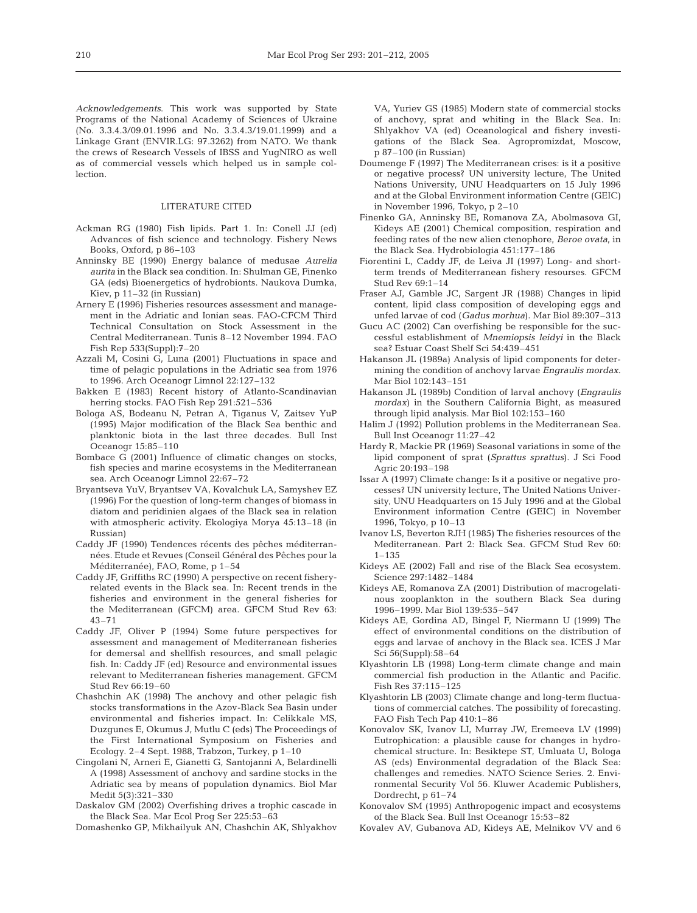*Acknowledgements*. This work was supported by State Programs of the National Academy of Sciences of Ukraine (No. 3.3.4.3/09.01.1996 and No. 3.3.4.3/19.01.1999) and a Linkage Grant (ENVIR.LG: 97.3262) from NATO. We thank the crews of Research Vessels of IBSS and YugNIRO as well as of commercial vessels which helped us in sample collection.

#### LITERATURE CITED

- Ackman RG (1980) Fish lipids. Part 1. In: Conell JJ (ed) Advances of fish science and technology. Fishery News Books, Oxford, p 86–103
- Anninsky BE (1990) Energy balance of medusae *Aurelia aurita* in the Black sea condition. In: Shulman GE, Finenko GA (eds) Bioenergetics of hydrobionts. Naukova Dumka, Kiev, p 11–32 (in Russian)
- Arnery E (1996) Fisheries resources assessment and management in the Adriatic and Ionian seas. FAO-CFCM Third Technical Consultation on Stock Assessment in the Central Mediterranean. Tunis 8–12 November 1994. FAO Fish Rep 533(Suppl):7–20
- Azzali M, Cosini G, Luna (2001) Fluctuations in space and time of pelagic populations in the Adriatic sea from 1976 to 1996. Arch Oceanogr Limnol 22:127–132
- Bakken E (1983) Recent history of Atlanto-Scandinavian herring stocks. FAO Fish Rep 291:521–536
- Bologa AS, Bodeanu N, Petran A, Tiganus V, Zaitsev YuP (1995) Major modification of the Black Sea benthic and planktonic biota in the last three decades. Bull Inst Oceanogr 15:85–110
- Bombace G (2001) Influence of climatic changes on stocks, fish species and marine ecosystems in the Mediterranean sea. Arch Oceanogr Limnol 22:67–72
- Bryantseva YuV, Bryantsev VA, Kovalchuk LA, Samyshev EZ (1996) For the question of long-term changes of biomass in diatom and peridinien algaes of the Black sea in relation with atmospheric activity. Ekologiya Morya 45:13–18 (in Russian)
- Caddy JF (1990) Tendences récents des pêches méditerrannées. Etude et Revues (Conseil Général des Pêches pour la Méditerranée), FAO, Rome, p 1–54
- Caddy JF, Griffiths RC (1990) A perspective on recent fisheryrelated events in the Black sea. In: Recent trends in the fisheries and environment in the general fisheries for the Mediterranean (GFCM) area. GFCM Stud Rev 63: 43–71
- Caddy JF, Oliver P (1994) Some future perspectives for assessment and management of Mediterranean fisheries for demersal and shellfish resources, and small pelagic fish. In: Caddy JF (ed) Resource and environmental issues relevant to Mediterranean fisheries management. GFCM Stud Rev 66:19–60
- Chashchin AK (1998) The anchovy and other pelagic fish stocks transformations in the Azov-Black Sea Basin under environmental and fisheries impact. In: Celikkale MS, Duzgunes E, Okumus J, Mutlu C (eds) The Proceedings of the First International Symposium on Fisheries and Ecology. 2–4 Sept. 1988, Trabzon, Turkey, p 1–10
- Cingolani N, Arneri E, Gianetti G, Santojanni A, Belardinelli A (1998) Assessment of anchovy and sardine stocks in the Adriatic sea by means of population dynamics. Biol Mar Medit 5(3):321–330
- Daskalov GM (2002) Overfishing drives a trophic cascade in the Black Sea. Mar Ecol Prog Ser 225:53–63
- Domashenko GP, Mikhailyuk AN, Chashchin AK, Shlyakhov

VA, Yuriev GS (1985) Modern state of commercial stocks of anchovy, sprat and whiting in the Black Sea. In: Shlyakhov VA (ed) Oceanological and fishery investigations of the Black Sea. Agropromizdat, Moscow, p 87–100 (in Russian)

- Doumenge F (1997) The Mediterranean crises: is it a positive or negative process? UN university lecture, The United Nations University, UNU Headquarters on 15 July 1996 and at the Global Environment information Centre (GEIC) in November 1996, Tokyo, p 2–10
- Finenko GA, Anninsky BE, Romanova ZA, Abolmasova GI, Kideys AE (2001) Chemical composition, respiration and feeding rates of the new alien ctenophore, *Beroe ovata*, in the Black Sea. Hydrobiologia 451:177–186
- Fiorentini L, Caddy JF, de Leiva JI (1997) Long- and shortterm trends of Mediterranean fishery resourses. GFCM Stud Rev 69:1–14
- Fraser AJ, Gamble JC, Sargent JR (1988) Changes in lipid content, lipid class composition of developing eggs and unfed larvae of cod (*Gadus morhua*). Mar Biol 89:307–313
- Gucu AC (2002) Can overfishing be responsible for the successful establishment of *Mnemiopsis leidyi* in the Black sea? Estuar Coast Shelf Sci 54:439–451
- Hakanson JL (1989a) Analysis of lipid components for determining the condition of anchovy larvae *Engraulis mordax*. Mar Biol 102:143–151
- Hakanson JL (1989b) Condition of larval anchovy (*Engraulis mordax*) in the Southern California Bight, as measured through lipid analysis. Mar Biol 102:153–160
- Halim J (1992) Pollution problems in the Mediterranean Sea. Bull Inst Oceanogr 11:27–42
- Hardy R, Mackie PR (1969) Seasonal variations in some of the lipid component of sprat (*Sprattus sprattus*). J Sci Food Agric 20:193–198
- Issar A (1997) Climate change: Is it a positive or negative processes? UN university lecture, The United Nations University, UNU Headquarters on 15 July 1996 and at the Global Environment information Centre (GEIC) in November 1996, Tokyo, p 10–13
- Ivanov LS, Beverton RJH (1985) The fisheries resources of the Mediterranean. Part 2: Black Sea. GFCM Stud Rev 60:  $1 - 135$
- Kideys AE (2002) Fall and rise of the Black Sea ecosystem. Science 297:1482–1484
- Kideys AE, Romanova ZA (2001) Distribution of macrogelatinous zooplankton in the southern Black Sea during 1996–1999. Mar Biol 139:535–547
- Kideys AE, Gordina AD, Bingel F, Niermann U (1999) The effect of environmental conditions on the distribution of eggs and larvae of anchovy in the Black sea. ICES J Mar Sci 56(Suppl):58–64
- Klyashtorin LB (1998) Long-term climate change and main commercial fish production in the Atlantic and Pacific. Fish Res 37:115–125
- Klyashtorin LB (2003) Climate change and long-term fluctuations of commercial catches. The possibility of forecasting. FAO Fish Tech Pap 410:1–86
- Konovalov SK, Ivanov LI, Murray JW, Eremeeva LV (1999) Eutrophication: a plausible cause for changes in hydrochemical structure. In: Besiktepe ST, Umluata U, Bologa AS (eds) Environmental degradation of the Black Sea: challenges and remedies. NATO Science Series. 2. Environmental Security Vol 56. Kluwer Academic Publishers, Dordrecht, p 61–74
- Konovalov SM (1995) Anthropogenic impact and ecosystems of the Black Sea. Bull Inst Oceanogr 15:53–82
- Kovalev AV, Gubanova AD, Kideys AE, Melnikov VV and 6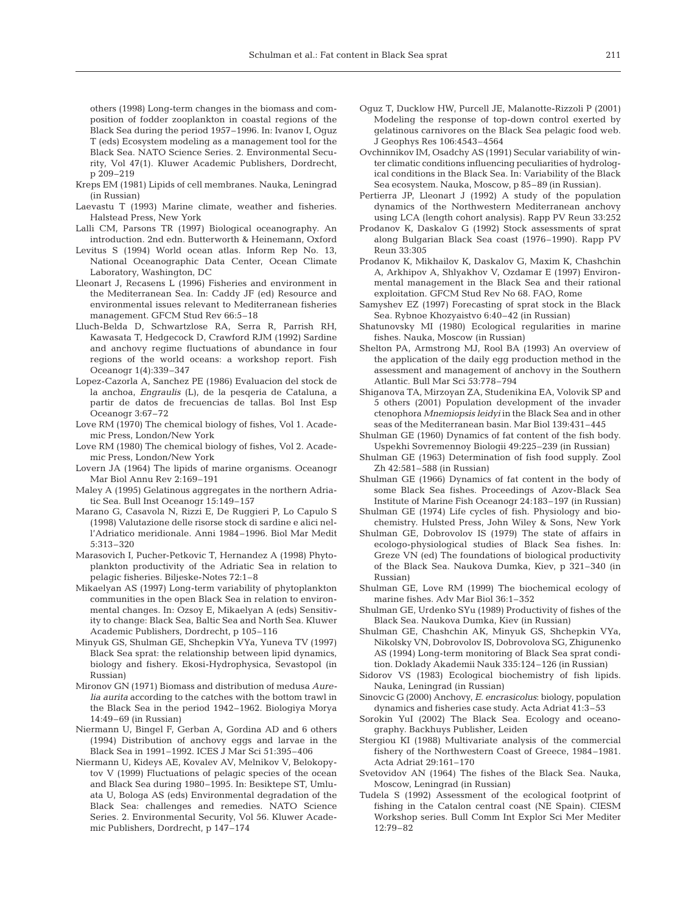others (1998) Long-term changes in the biomass and composition of fodder zooplankton in coastal regions of the Black Sea during the period 1957–1996. In: Ivanov I, Oguz T (eds) Ecosystem modeling as a management tool for the Black Sea. NATO Science Series. 2. Environmental Security, Vol 47(1). Kluwer Academic Publishers, Dordrecht, p 209–219

- Kreps EM (1981) Lipids of cell membranes. Nauka, Leningrad (in Russian)
- Laevastu T (1993) Marine climate, weather and fisheries. Halstead Press, New York
- Lalli CM, Parsons TR (1997) Biological oceanography. An introduction. 2nd edn. Butterworth & Heinemann, Oxford
- Levitus S (1994) World ocean atlas. Inform Rep No. 13, National Oceanographic Data Center, Ocean Climate Laboratory, Washington, DC
- Lleonart J, Recasens L (1996) Fisheries and environment in the Mediterranean Sea. In: Caddy JF (ed) Resource and environmental issues relevant to Mediterranean fisheries management. GFCM Stud Rev 66:5–18
- Lluch-Belda D, Schwartzlose RA, Serra R, Parrish RH, Kawasata T, Hedgecock D, Crawford RJM (1992) Sardine and anchovy regime fluctuations of abundance in four regions of the world oceans: a workshop report. Fish Oceanogr 1(4):339–347
- Lopez-Cazorla A, Sanchez PE (1986) Evaluacion del stock de la anchoa, *Engraulis* (L), de la pesqeria de Cataluna, a partir de datos de frecuencias de tallas. Bol Inst Esp Oceanogr 3:67–72
- Love RM (1970) The chemical biology of fishes, Vol 1. Academic Press, London/New York
- Love RM (1980) The chemical biology of fishes, Vol 2. Academic Press, London/New York
- Lovern JA (1964) The lipids of marine organisms. Oceanogr Mar Biol Annu Rev 2:169–191
- Maley A (1995) Gelatinous aggregates in the northern Adriatic Sea. Bull Inst Oceanogr 15:149–157
- Marano G, Casavola N, Rizzi E, De Ruggieri P, Lo Capulo S (1998) Valutazione delle risorse stock di sardine e alici nell'Adriatico meridionale. Anni 1984–1996. Biol Mar Medit 5:313–320
- Marasovich I, Pucher-Petkovic T, Hernandez A (1998) Phytoplankton productivity of the Adriatic Sea in relation to pelagic fisheries. Biljeske-Notes 72:1–8
- Mikaelyan AS (1997) Long-term variability of phytoplankton communities in the open Black Sea in relation to environmental changes. In: Ozsoy E, Mikaelyan A (eds) Sensitivity to change: Black Sea, Baltic Sea and North Sea. Kluwer Academic Publishers, Dordrecht, p 105–116
- Minyuk GS, Shulman GE, Shchepkin VYa, Yuneva TV (1997) Black Sea sprat: the relationship between lipid dynamics, biology and fishery. Ekosi-Hydrophysica, Sevastopol (in Russian)
- Mironov GN (1971) Biomass and distribution of medusa *Aurelia aurita* according to the catches with the bottom trawl in the Black Sea in the period 1942–1962. Biologiya Morya 14:49–69 (in Russian)
- Niermann U, Bingel F, Gerban A, Gordina AD and 6 others (1994) Distribution of anchovy eggs and larvae in the Black Sea in 1991–1992. ICES J Mar Sci 51:395–406
- Niermann U, Kideys AE, Kovalev AV, Melnikov V, Belokopytov V (1999) Fluctuations of pelagic species of the ocean and Black Sea during 1980–1995. In: Besiktepe ST, Umluata U, Bologa AS (eds) Environmental degradation of the Black Sea: challenges and remedies. NATO Science Series. 2. Environmental Security, Vol 56. Kluwer Academic Publishers, Dordrecht, p 147–174
- Oguz T, Ducklow HW, Purcell JE, Malanotte-Rizzoli P (2001) Modeling the response of top-down control exerted by gelatinous carnivores on the Black Sea pelagic food web. J Geophys Res 106:4543–4564
- Ovchinnikov IM, Osadchy AS (1991) Secular variability of winter climatic conditions influencing peculiarities of hydrological conditions in the Black Sea. In: Variability of the Black Sea ecosystem. Nauka, Moscow, p 85–89 (in Russian).
- Pertierra JP, Lleonart J (1992) A study of the population dynamics of the Northwestern Mediterranean anchovy using LCA (length cohort analysis). Rapp PV Reun 33:252
- Prodanov K, Daskalov G (1992) Stock assessments of sprat along Bulgarian Black Sea coast (1976–1990). Rapp PV Reun 33:305
- Prodanov K, Mikhailov K, Daskalov G, Maxim K, Chashchin A, Arkhipov A, Shlyakhov V, Ozdamar E (1997) Environmental management in the Black Sea and their rational exploitation. GFCM Stud Rev No 68. FAO, Rome
- Samyshev EZ (1997) Forecasting of sprat stock in the Black Sea. Rybnoe Khozyaistvo 6:40–42 (in Russian)
- Shatunovsky MI (1980) Ecological regularities in marine fishes. Nauka, Moscow (in Russian)
- Shelton PA, Armstrong MJ, Rool BA (1993) An overview of the application of the daily egg production method in the assessment and management of anchovy in the Southern Atlantic. Bull Mar Sci 53:778–794
- Shiganova TA, Mirzoyan ZA, Studenikina EA, Volovik SP and 5 others (2001) Population development of the invader ctenophora *Mnemiopsis leidyi* in the Black Sea and in other seas of the Mediterranean basin. Mar Biol 139:431–445
- Shulman GE (1960) Dynamics of fat content of the fish body. Uspekhi Sovremennoy Biologii 49:225–239 (in Russian)
- Shulman GE (1963) Determination of fish food supply. Zool Zh 42:581–588 (in Russian)
- Shulman GE (1966) Dynamics of fat content in the body of some Black Sea fishes. Proceedings of Azov-Black Sea Institute of Marine Fish Oceanogr 24:183–197 (in Russian)
- Shulman GE (1974) Life cycles of fish. Physiology and biochemistry. Hulsted Press, John Wiley & Sons, New York
- Shulman GE, Dobrovolov IS (1979) The state of affairs in ecologo-physiological studies of Black Sea fishes. In: Greze VN (ed) The foundations of biological productivity of the Black Sea. Naukova Dumka, Kiev, p 321–340 (in Russian)
- Shulman GE, Love RM (1999) The biochemical ecology of marine fishes. Adv Mar Biol 36:1–352
- Shulman GE, Urdenko SYu (1989) Productivity of fishes of the Black Sea. Naukova Dumka, Kiev (in Russian)
- Shulman GE, Chashchin AK, Minyuk GS, Shchepkin VYa, Nikolsky VN, Dobrovolov IS, Dobrovolova SG, Zhigunenko AS (1994) Long-term monitoring of Black Sea sprat condition. Doklady Akademii Nauk 335:124–126 (in Russian)
- Sidorov VS (1983) Ecological biochemistry of fish lipids. Nauka, Leningrad (in Russian)
- Sinovcic G (2000) Anchovy, *E. encrasicolus*: biology, population dynamics and fisheries case study. Acta Adriat 41:3–53
- Sorokin YuI (2002) The Black Sea. Ecology and oceanography. Backhuys Publisher, Leiden
- Stergiou KI (1988) Multivariate analysis of the commercial fishery of the Northwestern Coast of Greece, 1984–1981. Acta Adriat 29:161–170
- Svetovidov AN (1964) The fishes of the Black Sea. Nauka, Moscow, Leningrad (in Russian)
- Tudela S (1992) Assessment of the ecological footprint of fishing in the Catalon central coast (NE Spain). CIESM Workshop series. Bull Comm Int Explor Sci Mer Mediter 12:79–82